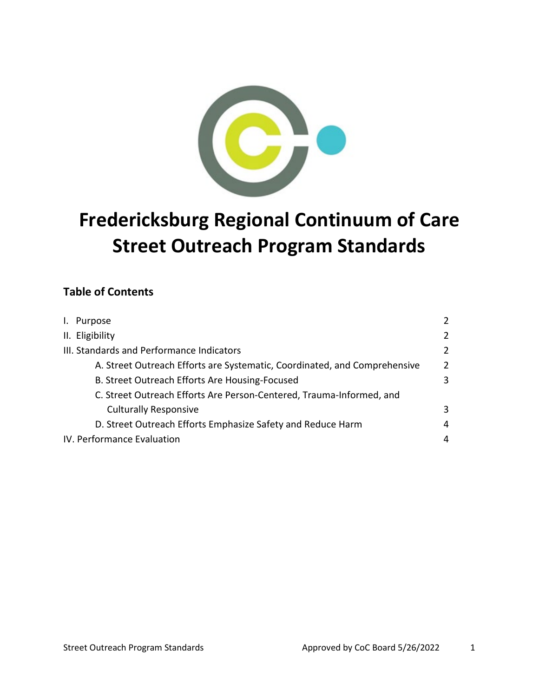

# **Fredericksburg Regional Continuum of Care Street Outreach Program Standards**

## **Table of Contents**

| I. Purpose                                                                | $\mathcal{P}$  |
|---------------------------------------------------------------------------|----------------|
| II. Eligibility                                                           | $\overline{2}$ |
| III. Standards and Performance Indicators                                 | $\overline{2}$ |
| A. Street Outreach Efforts are Systematic, Coordinated, and Comprehensive | $\overline{2}$ |
| B. Street Outreach Efforts Are Housing-Focused                            | 3              |
| C. Street Outreach Efforts Are Person-Centered, Trauma-Informed, and      |                |
| <b>Culturally Responsive</b>                                              | 3              |
| D. Street Outreach Efforts Emphasize Safety and Reduce Harm               | 4              |
| IV. Performance Evaluation                                                | 4              |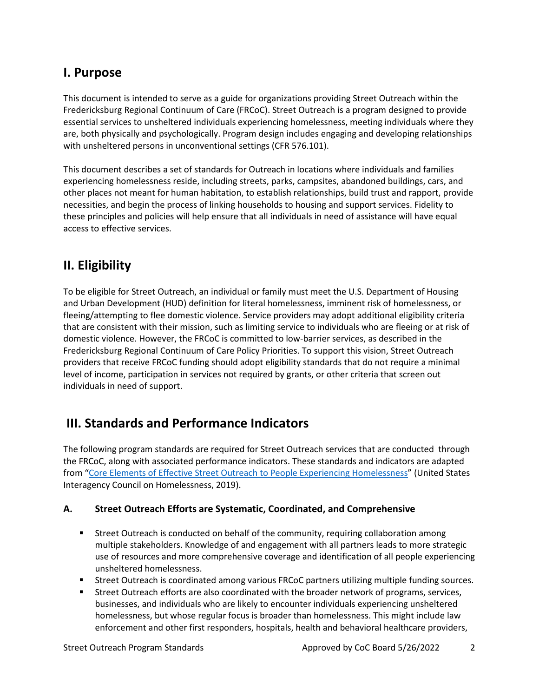## **I. Purpose**

This document is intended to serve as a guide for organizations providing Street Outreach within the Fredericksburg Regional Continuum of Care (FRCoC). Street Outreach is a program designed to provide essential services to unsheltered individuals experiencing homelessness, meeting individuals where they are, both physically and psychologically. Program design includes engaging and developing relationships with unsheltered persons in unconventional settings (CFR 576.101).

This document describes a set of standards for Outreach in locations where individuals and families experiencing homelessness reside, including streets, parks, campsites, abandoned buildings, cars, and other places not meant for human habitation, to establish relationships, build trust and rapport, provide necessities, and begin the process of linking households to housing and support services. Fidelity to these principles and policies will help ensure that all individuals in need of assistance will have equal access to effective services.

## **II. Eligibility**

To be eligible for Street Outreach, an individual or family must meet the U.S. Department of Housing and Urban Development (HUD) definition for literal homelessness, imminent risk of homelessness, or fleeing/attempting to flee domestic violence. Service providers may adopt additional eligibility criteria that are consistent with their mission, such as limiting service to individuals who are fleeing or at risk of domestic violence. However, the FRCoC is committed to low-barrier services, as described in the Fredericksburg Regional Continuum of Care Policy Priorities. To support this vision, Street Outreach providers that receive FRCoC funding should adopt eligibility standards that do not require a minimal level of income, participation in services not required by grants, or other criteria that screen out individuals in need of support.

## **III. Standards and Performance Indicators**

The following program standards are required for Street Outreach services that are conducted through the FRCoC, along with associated performance indicators. These standards and indicators are adapted from ["Core Elements of Effective Street Outreach to People Experiencing Homelessness"](https://www.usich.gov/resources/uploads/asset_library/Core-Components-of-Outreach-2019.pdf) (United States Interagency Council on Homelessness, 2019).

### **A. Street Outreach Efforts are Systematic, Coordinated, and Comprehensive**

- Street Outreach is conducted on behalf of the community, requiring collaboration among multiple stakeholders. Knowledge of and engagement with all partners leads to more strategic use of resources and more comprehensive coverage and identification of all people experiencing unsheltered homelessness.
- **Street Outreach is coordinated among various FRCoC partners utilizing multiple funding sources.**
- Street Outreach efforts are also coordinated with the broader network of programs, services, businesses, and individuals who are likely to encounter individuals experiencing unsheltered homelessness, but whose regular focus is broader than homelessness. This might include law enforcement and other first responders, hospitals, health and behavioral healthcare providers,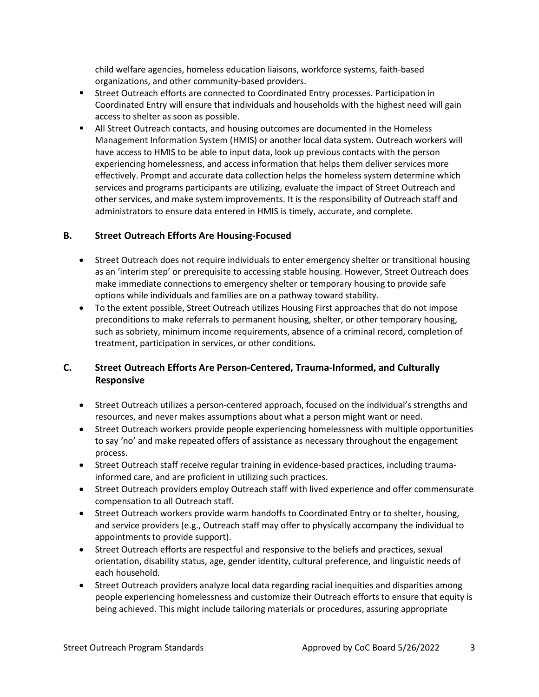child welfare agencies, homeless education liaisons, workforce systems, faith-based organizations, and other community-based providers.

- Street Outreach efforts are connected to Coordinated Entry processes. Participation in Coordinated Entry will ensure that individuals and households with the highest need will gain access to shelter as soon as possible.
- **All Street Outreach contacts, and housing outcomes are documented in the Homeless** Management Information System (HMIS) or another local data system. Outreach workers will have access to HMIS to be able to input data, look up previous contacts with the person experiencing homelessness, and access information that helps them deliver services more effectively. Prompt and accurate data collection helps the homeless system determine which services and programs participants are utilizing, evaluate the impact of Street Outreach and other services, and make system improvements. It is the responsibility of Outreach staff and administrators to ensure data entered in HMIS is timely, accurate, and complete.

#### **B. Street Outreach Efforts Are Housing-Focused**

- Street Outreach does not require individuals to enter emergency shelter or transitional housing as an 'interim step' or prerequisite to accessing stable housing. However, Street Outreach does make immediate connections to emergency shelter or temporary housing to provide safe options while individuals and families are on a pathway toward stability.
- To the extent possible, Street Outreach utilizes Housing First approaches that do not impose preconditions to make referrals to permanent housing, shelter, or other temporary housing, such as sobriety, minimum income requirements, absence of a criminal record, completion of treatment, participation in services, or other conditions.

### **C. Street Outreach Efforts Are Person-Centered, Trauma-Informed, and Culturally Responsive**

- Street Outreach utilizes a person-centered approach, focused on the individual's strengths and resources, and never makes assumptions about what a person might want or need.
- Street Outreach workers provide people experiencing homelessness with multiple opportunities to say 'no' and make repeated offers of assistance as necessary throughout the engagement process.
- Street Outreach staff receive regular training in evidence-based practices, including traumainformed care, and are proficient in utilizing such practices.
- Street Outreach providers employ Outreach staff with lived experience and offer commensurate compensation to all Outreach staff.
- Street Outreach workers provide warm handoffs to Coordinated Entry or to shelter, housing, and service providers (e.g., Outreach staff may offer to physically accompany the individual to appointments to provide support).
- Street Outreach efforts are respectful and responsive to the beliefs and practices, sexual orientation, disability status, age, gender identity, cultural preference, and linguistic needs of each household.
- Street Outreach providers analyze local data regarding racial inequities and disparities among people experiencing homelessness and customize their Outreach efforts to ensure that equity is being achieved. This might include tailoring materials or procedures, assuring appropriate